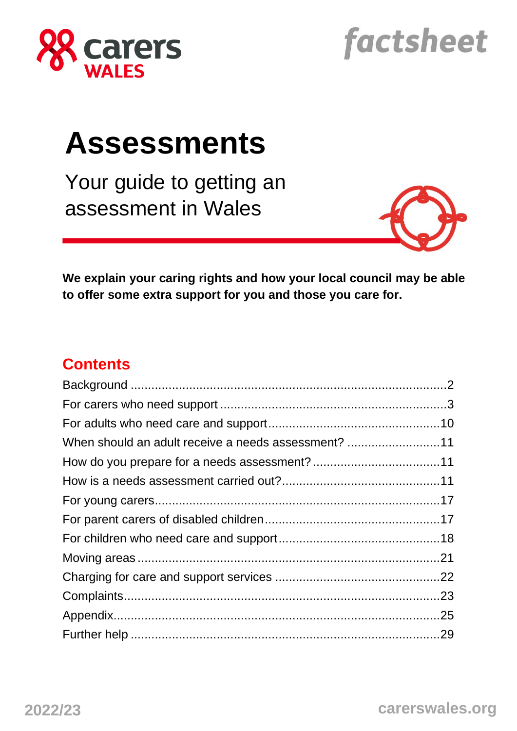

# factsheet

# **Assessments**

Your guide to getting an assessment in Wales



**We explain your caring rights and how your local council may be able to offer some extra support for you and those you care for.** 

### **Contents**

| When should an adult receive a needs assessment? 11 |  |
|-----------------------------------------------------|--|
|                                                     |  |
|                                                     |  |
|                                                     |  |
|                                                     |  |
|                                                     |  |
|                                                     |  |
|                                                     |  |
|                                                     |  |
|                                                     |  |
|                                                     |  |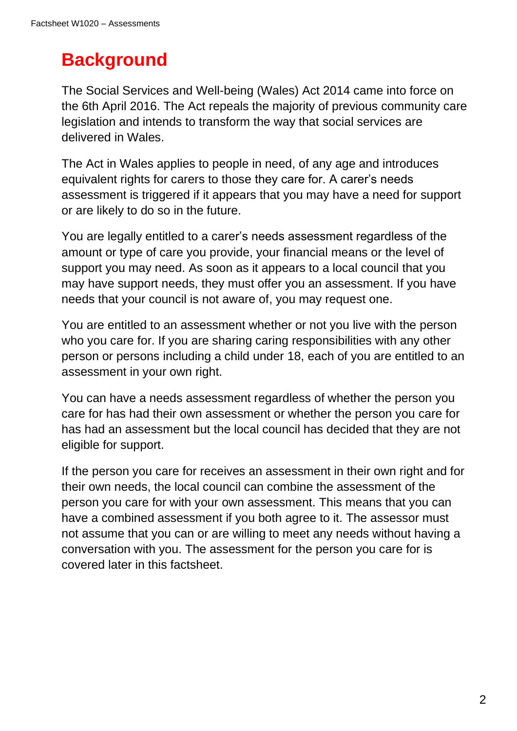# **Background**

The Social Services and Well-being (Wales) Act 2014 came into force on the 6th April 2016. The Act repeals the majority of previous community care legislation and intends to transform the way that social services are delivered in Wales.

The Act in Wales applies to people in need, of any age and introduces equivalent rights for carers to those they care for. A carer's needs assessment is triggered if it appears that you may have a need for support or are likely to do so in the future.

You are legally entitled to a carer's needs assessment regardless of the amount or type of care you provide, your financial means or the level of support you may need. As soon as it appears to a local council that you may have support needs, they must offer you an assessment. If you have needs that your council is not aware of, you may request one.

You are entitled to an assessment whether or not you live with the person who you care for. If you are sharing caring responsibilities with any other person or persons including a child under 18, each of you are entitled to an assessment in your own right.

You can have a needs assessment regardless of whether the person you care for has had their own assessment or whether the person you care for has had an assessment but the local council has decided that they are not eligible for support.

If the person you care for receives an assessment in their own right and for their own needs, the local council can combine the assessment of the person you care for with your own assessment. This means that you can have a combined assessment if you both agree to it. The assessor must not assume that you can or are willing to meet any needs without having a conversation with you. The assessment for the person you care for is covered later in this factsheet.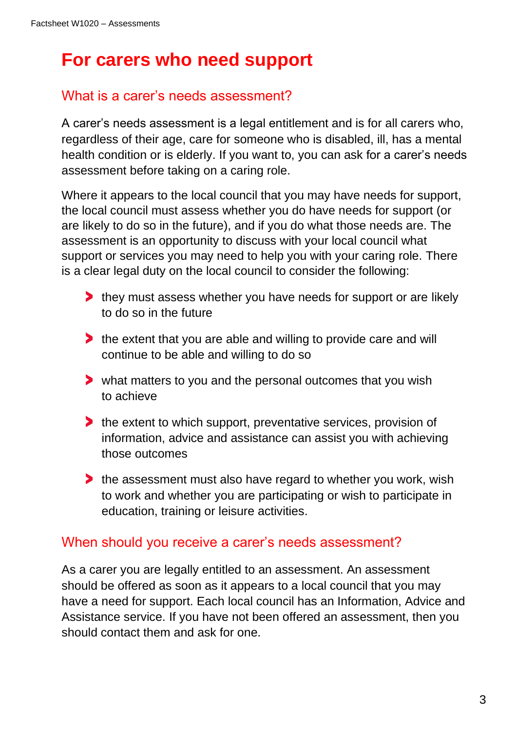# **For carers who need support**

### What is a carer's needs assessment?

A carer's needs assessment is a legal entitlement and is for all carers who, regardless of their age, care for someone who is disabled, ill, has a mental health condition or is elderly. If you want to, you can ask for a carer's needs assessment before taking on a caring role.

Where it appears to the local council that you may have needs for support, the local council must assess whether you do have needs for support (or are likely to do so in the future), and if you do what those needs are. The assessment is an opportunity to discuss with your local council what support or services you may need to help you with your caring role. There is a clear legal duty on the local council to consider the following:

- **they must assess whether you have needs for support or are likely** to do so in the future
- the extent that you are able and willing to provide care and will continue to be able and willing to do so
- what matters to you and the personal outcomes that you wish to achieve
- the extent to which support, preventative services, provision of information, advice and assistance can assist you with achieving those outcomes
- the assessment must also have regard to whether you work, wish to work and whether you are participating or wish to participate in education, training or leisure activities.

### When should you receive a carer's needs assessment?

As a carer you are legally entitled to an assessment. An assessment should be offered as soon as it appears to a local council that you may have a need for support. Each local council has an Information, Advice and Assistance service. If you have not been offered an assessment, then you should contact them and ask for one.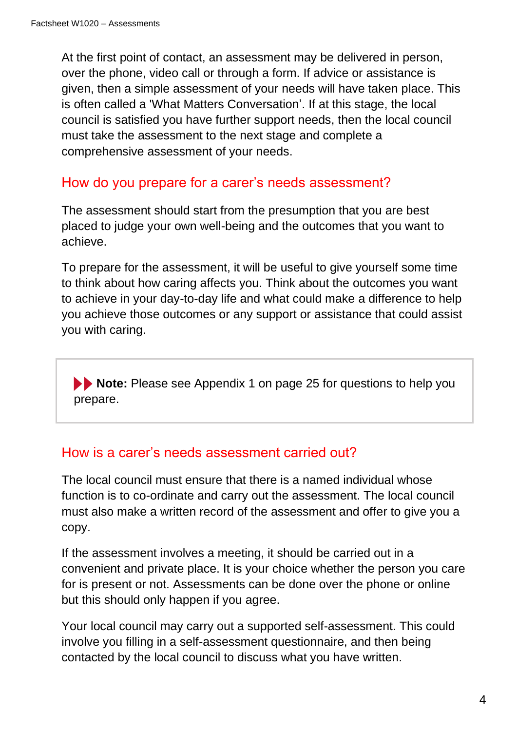At the first point of contact, an assessment may be delivered in person, over the phone, video call or through a form. If advice or assistance is given, then a simple assessment of your needs will have taken place. This is often called a 'What Matters Conversation'. If at this stage, the local council is satisfied you have further support needs, then the local council must take the assessment to the next stage and complete a comprehensive assessment of your needs.

### How do you prepare for a carer's needs assessment?

The assessment should start from the presumption that you are best placed to judge your own well-being and the outcomes that you want to achieve.

To prepare for the assessment, it will be useful to give yourself some time to think about how caring affects you. Think about the outcomes you want to achieve in your day-to-day life and what could make a difference to help you achieve those outcomes or any support or assistance that could assist you with caring.

**Note:** Please see Appendix 1 on page 25 for questions to help you prepare.

### How is a carer's needs assessment carried out?

The local council must ensure that there is a named individual whose function is to co-ordinate and carry out the assessment. The local council must also make a written record of the assessment and offer to give you a copy.

If the assessment involves a meeting, it should be carried out in a convenient and private place. It is your choice whether the person you care for is present or not. Assessments can be done over the phone or online but this should only happen if you agree.

Your local council may carry out a supported self-assessment. This could involve you filling in a self-assessment questionnaire, and then being contacted by the local council to discuss what you have written.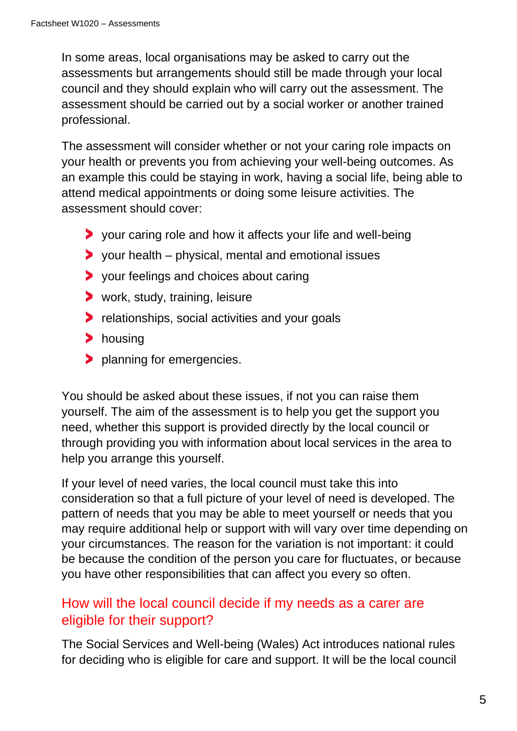In some areas, local organisations may be asked to carry out the assessments but arrangements should still be made through your local council and they should explain who will carry out the assessment. The assessment should be carried out by a social worker or another trained professional.

The assessment will consider whether or not your caring role impacts on your health or prevents you from achieving your well-being outcomes. As an example this could be staying in work, having a social life, being able to attend medical appointments or doing some leisure activities. The assessment should cover:

- your caring role and how it affects your life and well-being
- $\triangleright$  your health physical, mental and emotional issues
- > your feelings and choices about caring
- **>** work, study, training, leisure
- **P** relationships, social activities and your goals
- > housing
- **planning for emergencies.**

You should be asked about these issues, if not you can raise them yourself. The aim of the assessment is to help you get the support you need, whether this support is provided directly by the local council or through providing you with information about local services in the area to help you arrange this yourself.

If your level of need varies, the local council must take this into consideration so that a full picture of your level of need is developed. The pattern of needs that you may be able to meet yourself or needs that you may require additional help or support with will vary over time depending on your circumstances. The reason for the variation is not important: it could be because the condition of the person you care for fluctuates, or because you have other responsibilities that can affect you every so often.

### How will the local council decide if my needs as a carer are eligible for their support?

The Social Services and Well-being (Wales) Act introduces national rules for deciding who is eligible for care and support. It will be the local council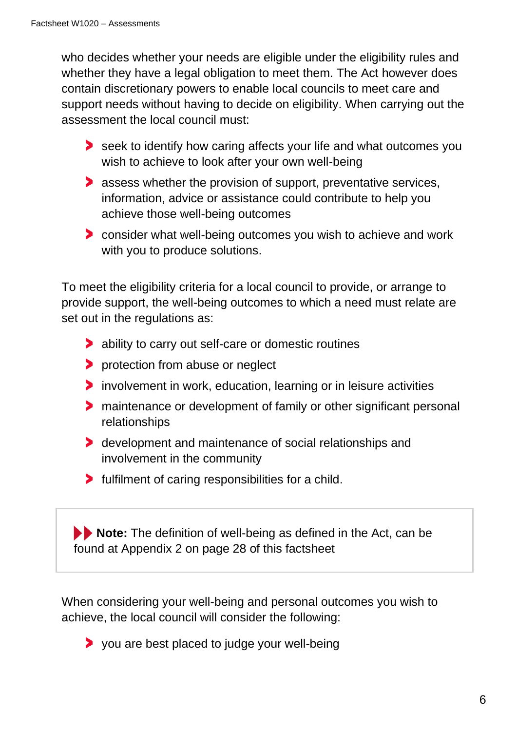who decides whether your needs are eligible under the eligibility rules and whether they have a legal obligation to meet them. The Act however does contain discretionary powers to enable local councils to meet care and support needs without having to decide on eligibility. When carrying out the assessment the local council must:

- seek to identify how caring affects your life and what outcomes you wish to achieve to look after your own well-being
- **assess whether the provision of support, preventative services,** information, advice or assistance could contribute to help you achieve those well-being outcomes
- consider what well-being outcomes you wish to achieve and work with you to produce solutions.

To meet the eligibility criteria for a local council to provide, or arrange to provide support, the well-being outcomes to which a need must relate are set out in the regulations as:

- ability to carry out self-care or domestic routines
- **P** protection from abuse or neglect
- involvement in work, education, learning or in leisure activities
- maintenance or development of family or other significant personal relationships
- **b** development and maintenance of social relationships and involvement in the community
- **Fulfilment of caring responsibilities for a child.**

**Note:** The definition of well-being as defined in the Act, can be found at Appendix 2 on page 28 of this factsheet

When considering your well-being and personal outcomes you wish to achieve, the local council will consider the following:

you are best placed to judge your well-being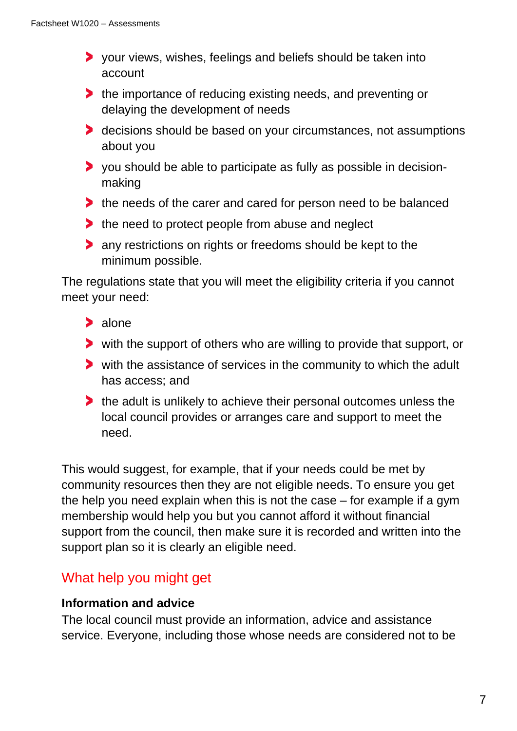- your views, wishes, feelings and beliefs should be taken into account
- he importance of reducing existing needs, and preventing or delaying the development of needs
- decisions should be based on your circumstances, not assumptions about you
- you should be able to participate as fully as possible in decisionmaking
- the needs of the carer and cared for person need to be balanced
- $\blacktriangleright$  the need to protect people from abuse and neglect
- **any restrictions on rights or freedoms should be kept to the** minimum possible.

The regulations state that you will meet the eligibility criteria if you cannot meet your need:

- > alone
- with the support of others who are willing to provide that support, or
- with the assistance of services in the community to which the adult has access; and
- the adult is unlikely to achieve their personal outcomes unless the local council provides or arranges care and support to meet the need.

This would suggest, for example, that if your needs could be met by community resources then they are not eligible needs. To ensure you get the help you need explain when this is not the case – for example if a gym membership would help you but you cannot afford it without financial support from the council, then make sure it is recorded and written into the support plan so it is clearly an eligible need.

### What help you might get

#### **Information and advice**

The local council must provide an information, advice and assistance service. Everyone, including those whose needs are considered not to be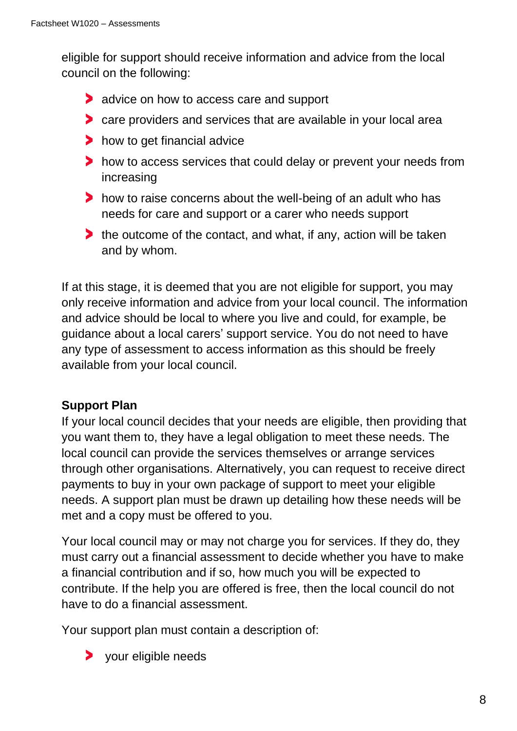eligible for support should receive information and advice from the local council on the following:

- **advice on how to access care and support**
- care providers and services that are available in your local area
- how to get financial advice
- how to access services that could delay or prevent your needs from increasing
- how to raise concerns about the well-being of an adult who has needs for care and support or a carer who needs support
- the outcome of the contact, and what, if any, action will be taken and by whom.

If at this stage, it is deemed that you are not eligible for support, you may only receive information and advice from your local council. The information and advice should be local to where you live and could, for example, be guidance about a local carers' support service. You do not need to have any type of assessment to access information as this should be freely available from your local council.

### **Support Plan**

If your local council decides that your needs are eligible, then providing that you want them to, they have a legal obligation to meet these needs. The local council can provide the services themselves or arrange services through other organisations. Alternatively, you can request to receive direct payments to buy in your own package of support to meet your eligible needs. A support plan must be drawn up detailing how these needs will be met and a copy must be offered to you.

Your local council may or may not charge you for services. If they do, they must carry out a financial assessment to decide whether you have to make a financial contribution and if so, how much you will be expected to contribute. If the help you are offered is free, then the local council do not have to do a financial assessment.

Your support plan must contain a description of:

> your eligible needs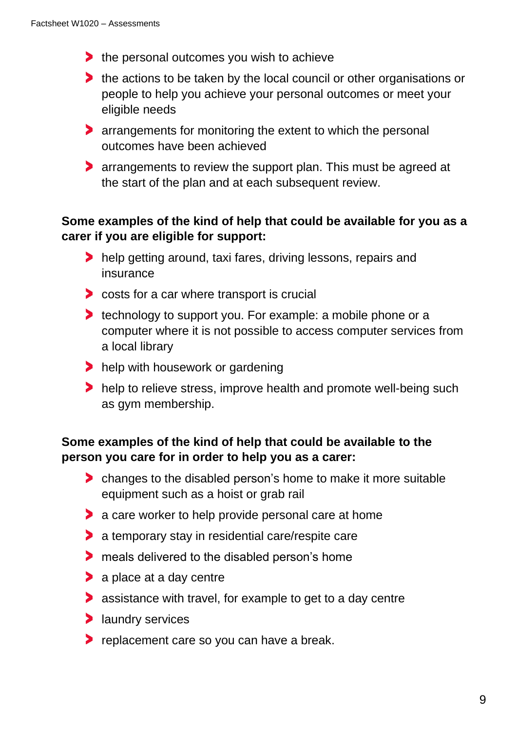- the personal outcomes you wish to achieve
- the actions to be taken by the local council or other organisations or people to help you achieve your personal outcomes or meet your eligible needs
- **Examplements for monitoring the extent to which the personal** outcomes have been achieved
- **Following 2** arrangements to review the support plan. This must be agreed at the start of the plan and at each subsequent review.

### **Some examples of the kind of help that could be available for you as a carer if you are eligible for support:**

- help getting around, taxi fares, driving lessons, repairs and insurance
- **the costs for a car where transport is crucial**
- **technology to support you. For example: a mobile phone or a** computer where it is not possible to access computer services from a local library
- help with housework or gardening
- help to relieve stress, improve health and promote well-being such as gym membership.

### **Some examples of the kind of help that could be available to the person you care for in order to help you as a carer:**

- changes to the disabled person's home to make it more suitable equipment such as a hoist or grab rail
- **a** care worker to help provide personal care at home
- **a** temporary stay in residential care/respite care
- **The meals delivered to the disabled person's home**
- > a place at a day centre
- assistance with travel, for example to get to a day centre
- **>** laundry services
- **P** replacement care so you can have a break.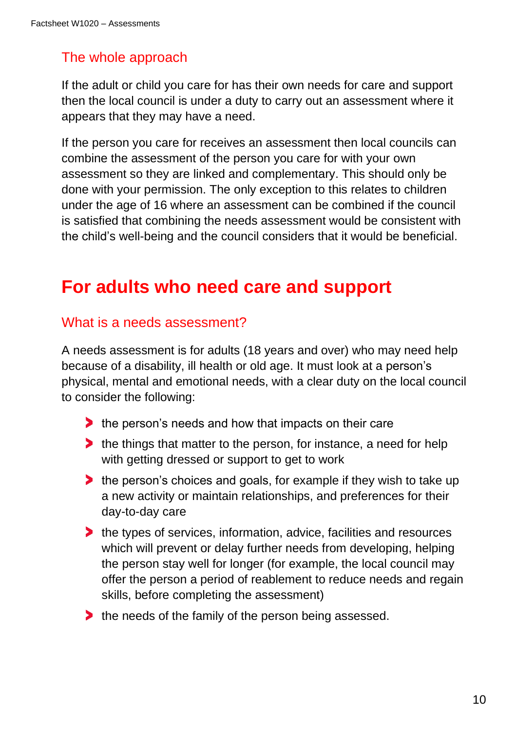### The whole approach

If the adult or child you care for has their own needs for care and support then the local council is under a duty to carry out an assessment where it appears that they may have a need.

If the person you care for receives an assessment then local councils can combine the assessment of the person you care for with your own assessment so they are linked and complementary. This should only be done with your permission. The only exception to this relates to children under the age of 16 where an assessment can be combined if the council is satisfied that combining the needs assessment would be consistent with the child's well-being and the council considers that it would be beneficial.

# **For adults who need care and support**

### What is a needs assessment?

A needs assessment is for adults (18 years and over) who may need help because of a disability, ill health or old age. It must look at a person's physical, mental and emotional needs, with a clear duty on the local council to consider the following:

- $\blacktriangleright$  the person's needs and how that impacts on their care
- **the things that matter to the person, for instance, a need for help** with getting dressed or support to get to work
- the person's choices and goals, for example if they wish to take up a new activity or maintain relationships, and preferences for their day-to-day care
- he types of services, information, advice, facilities and resources which will prevent or delay further needs from developing, helping the person stay well for longer (for example, the local council may offer the person a period of reablement to reduce needs and regain skills, before completing the assessment)
- he needs of the family of the person being assessed.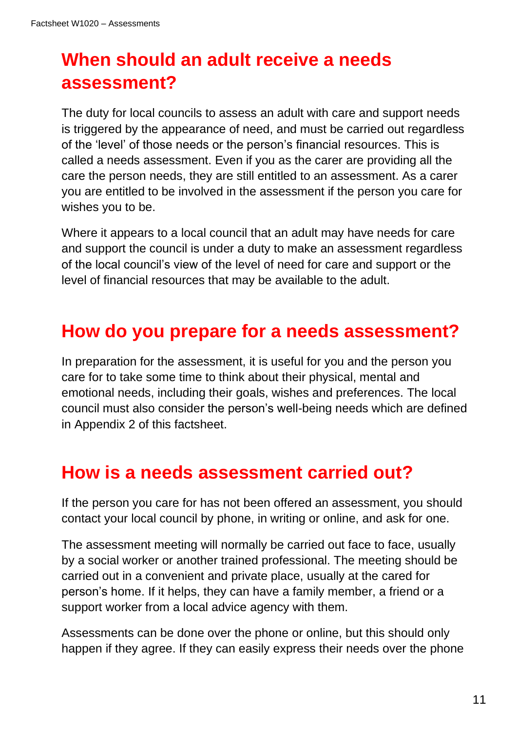# **When should an adult receive a needs assessment?**

The duty for local councils to assess an adult with care and support needs is triggered by the appearance of need, and must be carried out regardless of the 'level' of those needs or the person's financial resources. This is called a needs assessment. Even if you as the carer are providing all the care the person needs, they are still entitled to an assessment. As a carer you are entitled to be involved in the assessment if the person you care for wishes you to be.

Where it appears to a local council that an adult may have needs for care and support the council is under a duty to make an assessment regardless of the local council's view of the level of need for care and support or the level of financial resources that may be available to the adult.

# **How do you prepare for a needs assessment?**

In preparation for the assessment, it is useful for you and the person you care for to take some time to think about their physical, mental and emotional needs, including their goals, wishes and preferences. The local council must also consider the person's well-being needs which are defined in Appendix 2 of this factsheet.

# **How is a needs assessment carried out?**

If the person you care for has not been offered an assessment, you should contact your local council by phone, in writing or online, and ask for one.

The assessment meeting will normally be carried out face to face, usually by a social worker or another trained professional. The meeting should be carried out in a convenient and private place, usually at the cared for person's home. If it helps, they can have a family member, a friend or a support worker from a local advice agency with them.

Assessments can be done over the phone or online, but this should only happen if they agree. If they can easily express their needs over the phone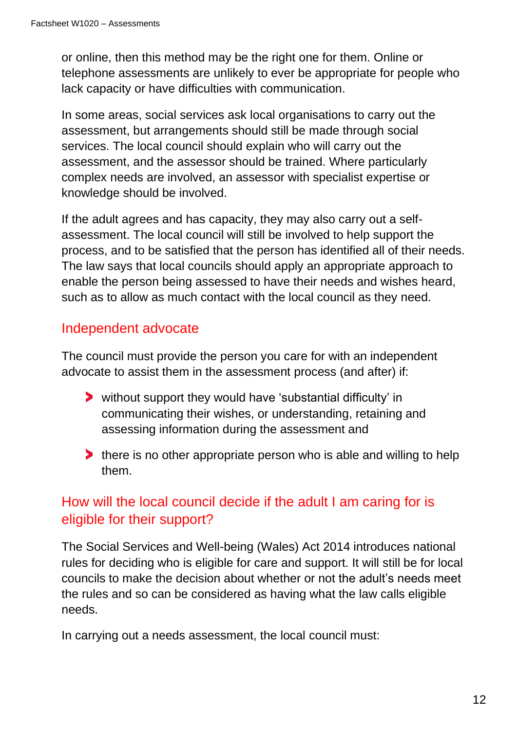or online, then this method may be the right one for them. Online or telephone assessments are unlikely to ever be appropriate for people who lack capacity or have difficulties with communication.

In some areas, social services ask local organisations to carry out the assessment, but arrangements should still be made through social services. The local council should explain who will carry out the assessment, and the assessor should be trained. Where particularly complex needs are involved, an assessor with specialist expertise or knowledge should be involved.

If the adult agrees and has capacity, they may also carry out a selfassessment. The local council will still be involved to help support the process, and to be satisfied that the person has identified all of their needs. The law says that local councils should apply an appropriate approach to enable the person being assessed to have their needs and wishes heard, such as to allow as much contact with the local council as they need.

### Independent advocate

The council must provide the person you care for with an independent advocate to assist them in the assessment process (and after) if:

- without support they would have 'substantial difficulty' in communicating their wishes, or understanding, retaining and assessing information during the assessment and
- **there is no other appropriate person who is able and willing to help** them.

### How will the local council decide if the adult I am caring for is eligible for their support?

The Social Services and Well-being (Wales) Act 2014 introduces national rules for deciding who is eligible for care and support. It will still be for local councils to make the decision about whether or not the adult's needs meet the rules and so can be considered as having what the law calls eligible needs.

In carrying out a needs assessment, the local council must: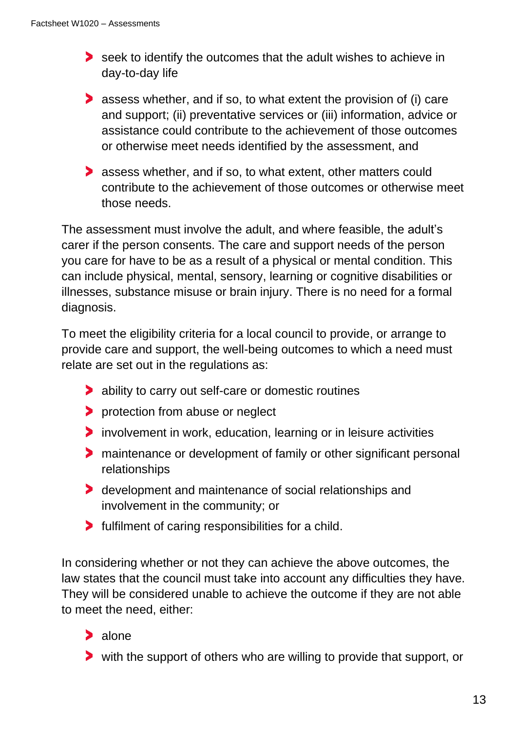- seek to identify the outcomes that the adult wishes to achieve in day-to-day life
- assess whether, and if so, to what extent the provision of (i) care and support; (ii) preventative services or (iii) information, advice or assistance could contribute to the achievement of those outcomes or otherwise meet needs identified by the assessment, and
- **assess whether, and if so, to what extent, other matters could** contribute to the achievement of those outcomes or otherwise meet those needs.

The assessment must involve the adult, and where feasible, the adult's carer if the person consents. The care and support needs of the person you care for have to be as a result of a physical or mental condition. This can include physical, mental, sensory, learning or cognitive disabilities or illnesses, substance misuse or brain injury. There is no need for a formal diagnosis.

To meet the eligibility criteria for a local council to provide, or arrange to provide care and support, the well-being outcomes to which a need must relate are set out in the regulations as:

- ability to carry out self-care or domestic routines
- **P** protection from abuse or neglect
- involvement in work, education, learning or in leisure activities
- **The intenance or development of family or other significant personal** relationships
- development and maintenance of social relationships and involvement in the community; or
- **Fulfilment of caring responsibilities for a child.**

In considering whether or not they can achieve the above outcomes, the law states that the council must take into account any difficulties they have. They will be considered unable to achieve the outcome if they are not able to meet the need, either:

### > alone

with the support of others who are willing to provide that support, or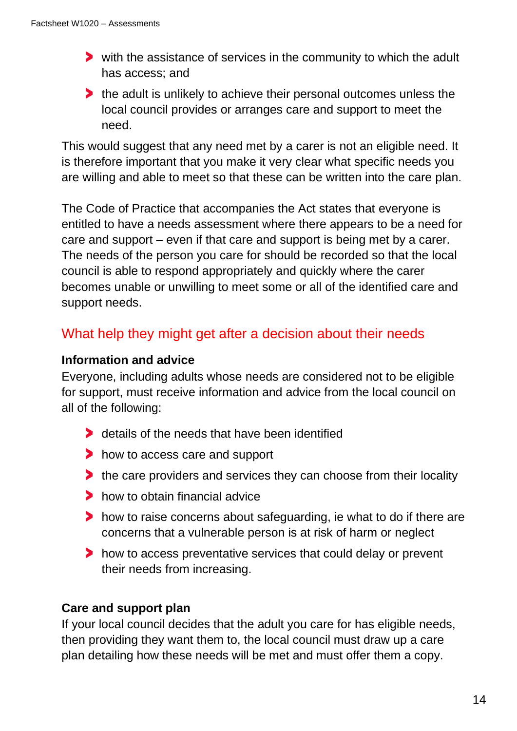- with the assistance of services in the community to which the adult has access; and
- the adult is unlikely to achieve their personal outcomes unless the local council provides or arranges care and support to meet the need.

This would suggest that any need met by a carer is not an eligible need. It is therefore important that you make it very clear what specific needs you are willing and able to meet so that these can be written into the care plan.

The Code of Practice that accompanies the Act states that everyone is entitled to have a needs assessment where there appears to be a need for care and support – even if that care and support is being met by a carer. The needs of the person you care for should be recorded so that the local council is able to respond appropriately and quickly where the carer becomes unable or unwilling to meet some or all of the identified care and support needs.

### What help they might get after a decision about their needs

### **Information and advice**

Everyone, including adults whose needs are considered not to be eligible for support, must receive information and advice from the local council on all of the following:

- details of the needs that have been identified
- how to access care and support
- the care providers and services they can choose from their locality
- how to obtain financial advice
- how to raise concerns about safeguarding, ie what to do if there are concerns that a vulnerable person is at risk of harm or neglect
- how to access preventative services that could delay or prevent their needs from increasing.

### **Care and support plan**

If your local council decides that the adult you care for has eligible needs, then providing they want them to, the local council must draw up a care plan detailing how these needs will be met and must offer them a copy.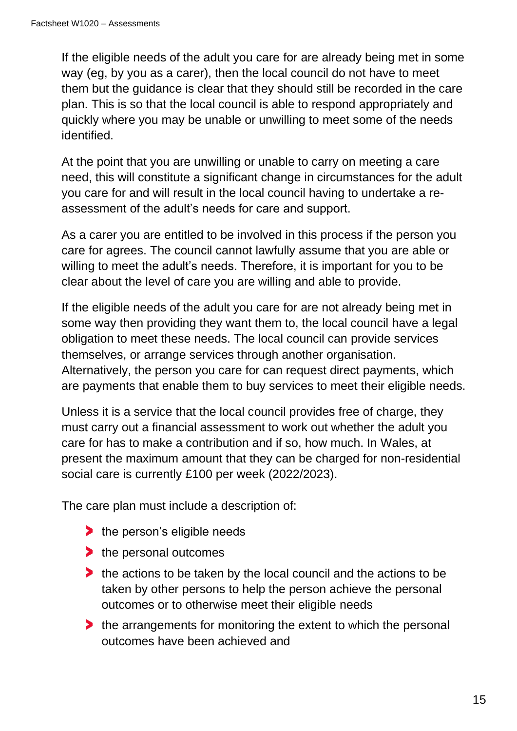If the eligible needs of the adult you care for are already being met in some way (eg, by you as a carer), then the local council do not have to meet them but the guidance is clear that they should still be recorded in the care plan. This is so that the local council is able to respond appropriately and quickly where you may be unable or unwilling to meet some of the needs identified.

At the point that you are unwilling or unable to carry on meeting a care need, this will constitute a significant change in circumstances for the adult you care for and will result in the local council having to undertake a reassessment of the adult's needs for care and support.

As a carer you are entitled to be involved in this process if the person you care for agrees. The council cannot lawfully assume that you are able or willing to meet the adult's needs. Therefore, it is important for you to be clear about the level of care you are willing and able to provide.

If the eligible needs of the adult you care for are not already being met in some way then providing they want them to, the local council have a legal obligation to meet these needs. The local council can provide services themselves, or arrange services through another organisation. Alternatively, the person you care for can request direct payments, which are payments that enable them to buy services to meet their eligible needs.

Unless it is a service that the local council provides free of charge, they must carry out a financial assessment to work out whether the adult you care for has to make a contribution and if so, how much. In Wales, at present the maximum amount that they can be charged for non-residential social care is currently £100 per week (2022/2023).

The care plan must include a description of:

- he person's eligible needs
- he personal outcomes
- the actions to be taken by the local council and the actions to be taken by other persons to help the person achieve the personal outcomes or to otherwise meet their eligible needs
- the arrangements for monitoring the extent to which the personal outcomes have been achieved and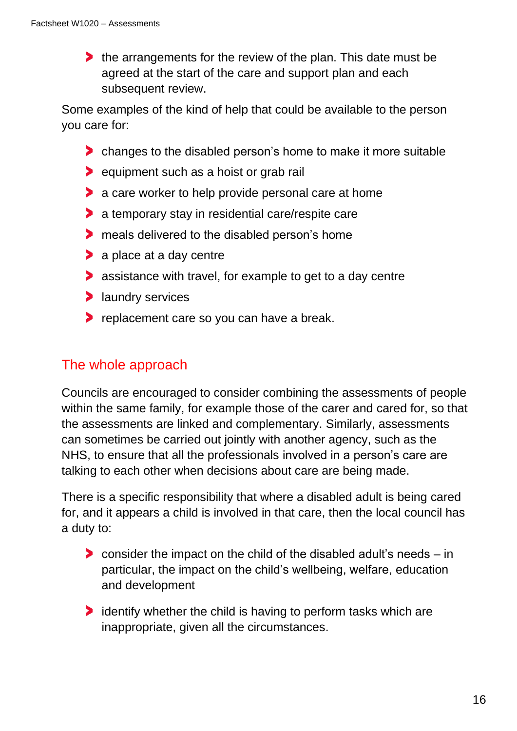the arrangements for the review of the plan. This date must be agreed at the start of the care and support plan and each subsequent review.

Some examples of the kind of help that could be available to the person you care for:

- changes to the disabled person's home to make it more suitable
- **D** equipment such as a hoist or grab rail
- **a** care worker to help provide personal care at home
- a temporary stay in residential care/respite care
- **The meals delivered to the disabled person's home**
- **a** place at a day centre
- **assistance with travel, for example to get to a day centre**
- **a** laundry services
- **P** replacement care so you can have a break.

### The whole approach

Councils are encouraged to consider combining the assessments of people within the same family, for example those of the carer and cared for, so that the assessments are linked and complementary. Similarly, assessments can sometimes be carried out jointly with another agency, such as the NHS, to ensure that all the professionals involved in a person's care are talking to each other when decisions about care are being made.

There is a specific responsibility that where a disabled adult is being cared for, and it appears a child is involved in that care, then the local council has a duty to:

- consider the impact on the child of the disabled adult's needs in particular, the impact on the child's wellbeing, welfare, education and development
- **If** identify whether the child is having to perform tasks which are inappropriate, given all the circumstances.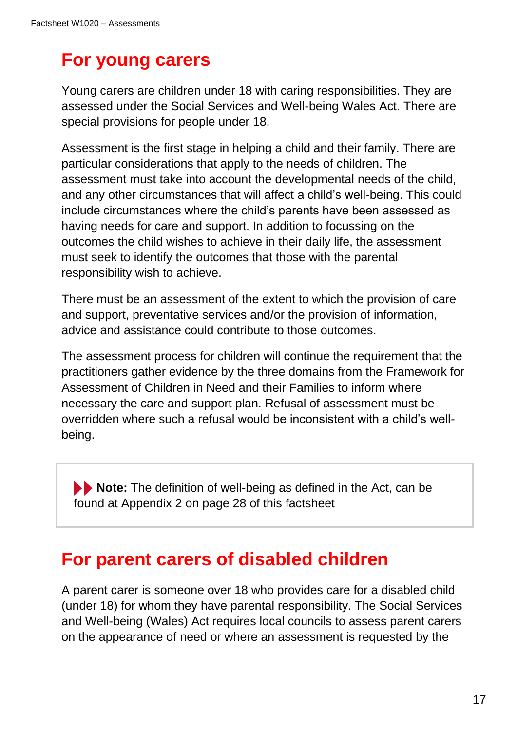# **For young carers**

Young carers are children under 18 with caring responsibilities. They are assessed under the Social Services and Well-being Wales Act. There are special provisions for people under 18.

Assessment is the first stage in helping a child and their family. There are particular considerations that apply to the needs of children. The assessment must take into account the developmental needs of the child, and any other circumstances that will affect a child's well-being. This could include circumstances where the child's parents have been assessed as having needs for care and support. In addition to focussing on the outcomes the child wishes to achieve in their daily life, the assessment must seek to identify the outcomes that those with the parental responsibility wish to achieve.

There must be an assessment of the extent to which the provision of care and support, preventative services and/or the provision of information, advice and assistance could contribute to those outcomes.

The assessment process for children will continue the requirement that the practitioners gather evidence by the three domains from the Framework for Assessment of Children in Need and their Families to inform where necessary the care and support plan. Refusal of assessment must be overridden where such a refusal would be inconsistent with a child's wellbeing.

**Note:** The definition of well-being as defined in the Act, can be found at Appendix 2 on page 28 of this factsheet

### **For parent carers of disabled children**

A parent carer is someone over 18 who provides care for a disabled child (under 18) for whom they have parental responsibility. The Social Services and Well-being (Wales) Act requires local councils to assess parent carers on the appearance of need or where an assessment is requested by the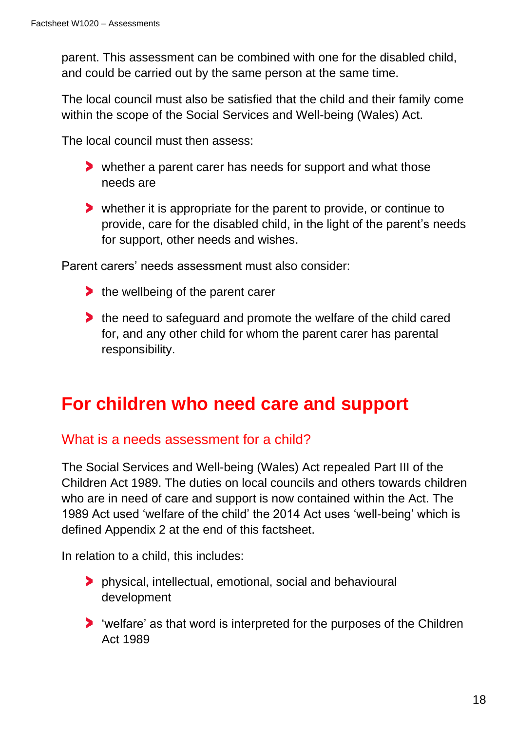parent. This assessment can be combined with one for the disabled child, and could be carried out by the same person at the same time.

The local council must also be satisfied that the child and their family come within the scope of the Social Services and Well-being (Wales) Act.

The local council must then assess:

- whether a parent carer has needs for support and what those needs are
- whether it is appropriate for the parent to provide, or continue to provide, care for the disabled child, in the light of the parent's needs for support, other needs and wishes.

Parent carers' needs assessment must also consider:

- $\blacktriangleright$  the wellbeing of the parent carer
- the need to safeguard and promote the welfare of the child cared for, and any other child for whom the parent carer has parental responsibility.

# **For children who need care and support**

### What is a needs assessment for a child?

The Social Services and Well-being (Wales) Act repealed Part III of the Children Act 1989. The duties on local councils and others towards children who are in need of care and support is now contained within the Act. The 1989 Act used 'welfare of the child' the 2014 Act uses 'well-being' which is defined Appendix 2 at the end of this factsheet.

In relation to a child, this includes:

- physical, intellectual, emotional, social and behavioural development
- 'welfare' as that word is interpreted for the purposes of the Children Act 1989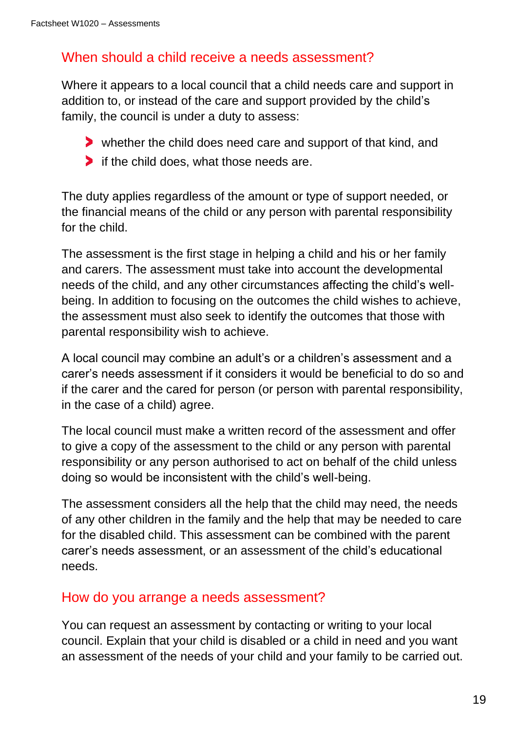### When should a child receive a needs assessment?

Where it appears to a local council that a child needs care and support in addition to, or instead of the care and support provided by the child's family, the council is under a duty to assess:

- whether the child does need care and support of that kind, and
- If the child does, what those needs are.

The duty applies regardless of the amount or type of support needed, or the financial means of the child or any person with parental responsibility for the child.

The assessment is the first stage in helping a child and his or her family and carers. The assessment must take into account the developmental needs of the child, and any other circumstances affecting the child's wellbeing. In addition to focusing on the outcomes the child wishes to achieve, the assessment must also seek to identify the outcomes that those with parental responsibility wish to achieve.

A local council may combine an adult's or a children's assessment and a carer's needs assessment if it considers it would be beneficial to do so and if the carer and the cared for person (or person with parental responsibility, in the case of a child) agree.

The local council must make a written record of the assessment and offer to give a copy of the assessment to the child or any person with parental responsibility or any person authorised to act on behalf of the child unless doing so would be inconsistent with the child's well-being.

The assessment considers all the help that the child may need, the needs of any other children in the family and the help that may be needed to care for the disabled child. This assessment can be combined with the parent carer's needs assessment, or an assessment of the child's educational needs.

### How do you arrange a needs assessment?

You can request an assessment by contacting or writing to your local council. Explain that your child is disabled or a child in need and you want an assessment of the needs of your child and your family to be carried out.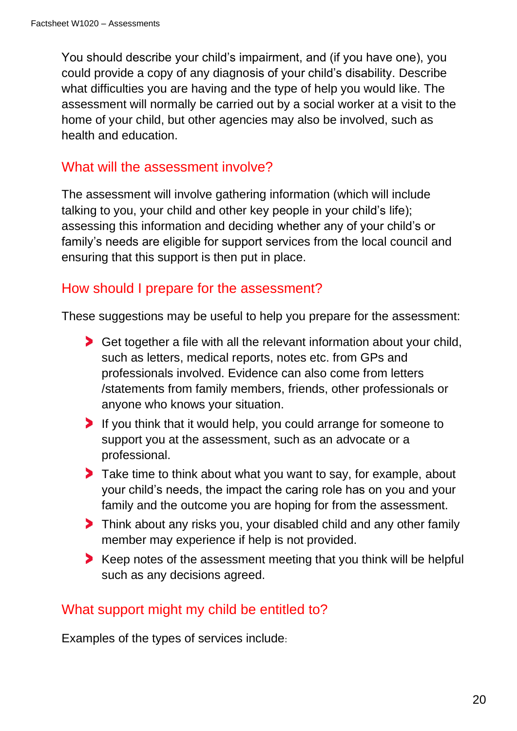You should describe your child's impairment, and (if you have one), you could provide a copy of any diagnosis of your child's disability. Describe what difficulties you are having and the type of help you would like. The assessment will normally be carried out by a social worker at a visit to the home of your child, but other agencies may also be involved, such as health and education.

### What will the assessment involve?

The assessment will involve gathering information (which will include talking to you, your child and other key people in your child's life); assessing this information and deciding whether any of your child's or family's needs are eligible for support services from the local council and ensuring that this support is then put in place.

### How should I prepare for the assessment?

These suggestions may be useful to help you prepare for the assessment:

- Get together a file with all the relevant information about your child, such as letters, medical reports, notes etc. from GPs and professionals involved. Evidence can also come from letters /statements from family members, friends, other professionals or anyone who knows your situation.
- If you think that it would help, you could arrange for someone to support you at the assessment, such as an advocate or a professional.
- Take time to think about what you want to say, for example, about your child's needs, the impact the caring role has on you and your family and the outcome you are hoping for from the assessment.
- Think about any risks you, your disabled child and any other family member may experience if help is not provided.
- Keep notes of the assessment meeting that you think will be helpful such as any decisions agreed.

### What support might my child be entitled to?

Examples of the types of services include: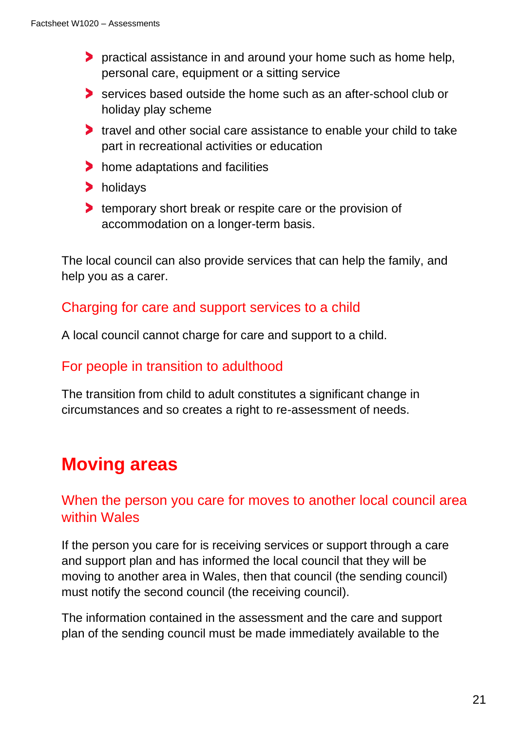- **P** practical assistance in and around your home such as home help, personal care, equipment or a sitting service
- services based outside the home such as an after-school club or holiday play scheme
- If travel and other social care assistance to enable your child to take part in recreational activities or education
- home adaptations and facilities
- holidays
- **temporary short break or respite care or the provision of** accommodation on a longer-term basis.

The local council can also provide services that can help the family, and help you as a carer.

### Charging for care and support services to a child

A local council cannot charge for care and support to a child.

### For people in transition to adulthood

The transition from child to adult constitutes a significant change in circumstances and so creates a right to re-assessment of needs.

# **Moving areas**

### When the person you care for moves to another local council area within Wales

If the person you care for is receiving services or support through a care and support plan and has informed the local council that they will be moving to another area in Wales, then that council (the sending council) must notify the second council (the receiving council).

The information contained in the assessment and the care and support plan of the sending council must be made immediately available to the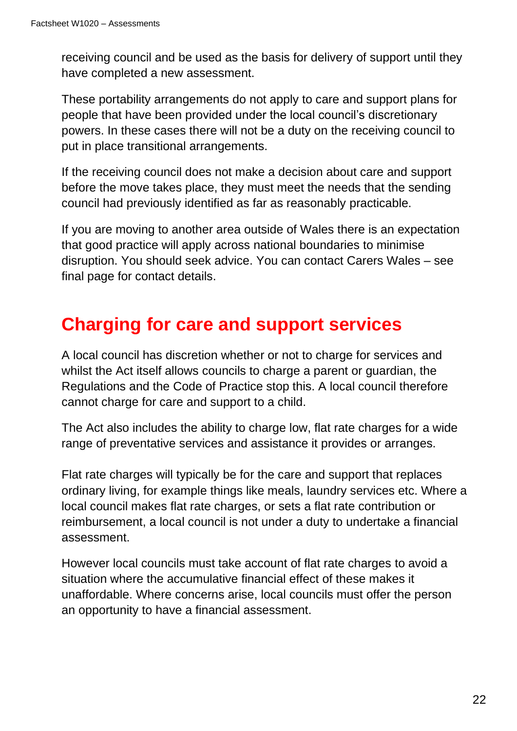receiving council and be used as the basis for delivery of support until they have completed a new assessment.

These portability arrangements do not apply to care and support plans for people that have been provided under the local council's discretionary powers. In these cases there will not be a duty on the receiving council to put in place transitional arrangements.

If the receiving council does not make a decision about care and support before the move takes place, they must meet the needs that the sending council had previously identified as far as reasonably practicable.

If you are moving to another area outside of Wales there is an expectation that good practice will apply across national boundaries to minimise disruption. You should seek advice. You can contact Carers Wales – see final page for contact details.

# **Charging for care and support services**

A local council has discretion whether or not to charge for services and whilst the Act itself allows councils to charge a parent or guardian, the Regulations and the Code of Practice stop this. A local council therefore cannot charge for care and support to a child.

The Act also includes the ability to charge low, flat rate charges for a wide range of preventative services and assistance it provides or arranges.

Flat rate charges will typically be for the care and support that replaces ordinary living, for example things like meals, laundry services etc. Where a local council makes flat rate charges, or sets a flat rate contribution or reimbursement, a local council is not under a duty to undertake a financial assessment.

However local councils must take account of flat rate charges to avoid a situation where the accumulative financial effect of these makes it unaffordable. Where concerns arise, local councils must offer the person an opportunity to have a financial assessment.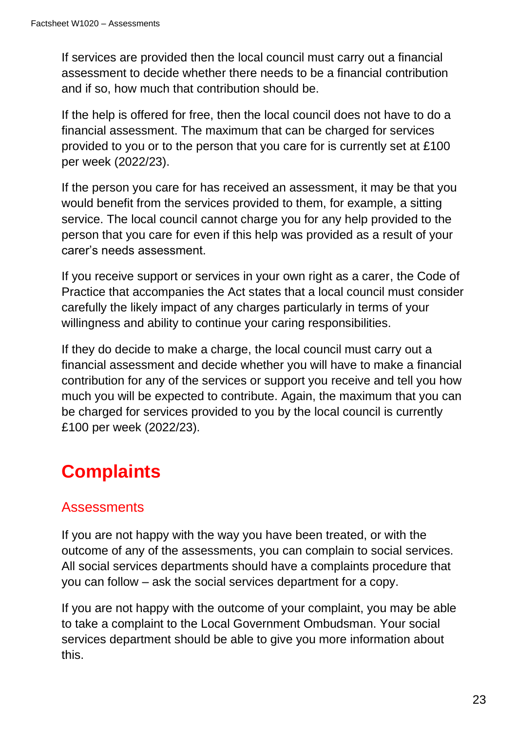If services are provided then the local council must carry out a financial assessment to decide whether there needs to be a financial contribution and if so, how much that contribution should be.

If the help is offered for free, then the local council does not have to do a financial assessment. The maximum that can be charged for services provided to you or to the person that you care for is currently set at £100 per week (2022/23).

If the person you care for has received an assessment, it may be that you would benefit from the services provided to them, for example, a sitting service. The local council cannot charge you for any help provided to the person that you care for even if this help was provided as a result of your carer's needs assessment.

If you receive support or services in your own right as a carer, the Code of Practice that accompanies the Act states that a local council must consider carefully the likely impact of any charges particularly in terms of your willingness and ability to continue your caring responsibilities.

If they do decide to make a charge, the local council must carry out a financial assessment and decide whether you will have to make a financial contribution for any of the services or support you receive and tell you how much you will be expected to contribute. Again, the maximum that you can be charged for services provided to you by the local council is currently £100 per week (2022/23).

# **Complaints**

### **Assessments**

If you are not happy with the way you have been treated, or with the outcome of any of the assessments, you can complain to social services. All social services departments should have a complaints procedure that you can follow – ask the social services department for a copy.

If you are not happy with the outcome of your complaint, you may be able to take a complaint to the Local Government Ombudsman. Your social services department should be able to give you more information about this.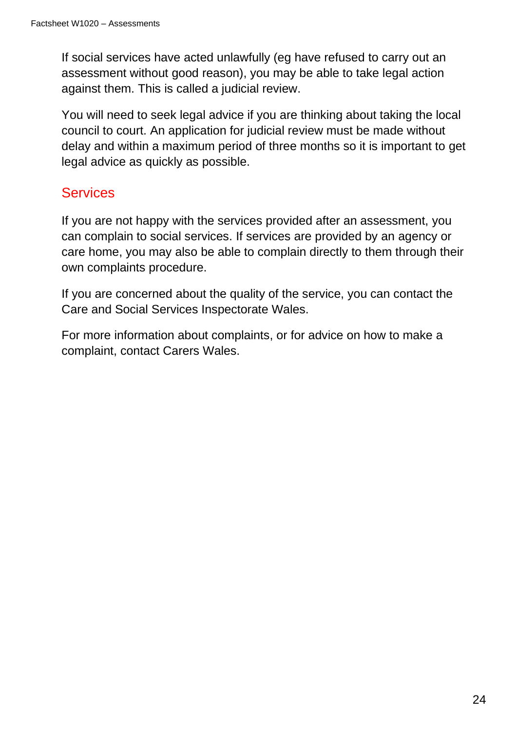If social services have acted unlawfully (eg have refused to carry out an assessment without good reason), you may be able to take legal action against them. This is called a judicial review.

You will need to seek legal advice if you are thinking about taking the local council to court. An application for judicial review must be made without delay and within a maximum period of three months so it is important to get legal advice as quickly as possible.

### **Services**

If you are not happy with the services provided after an assessment, you can complain to social services. If services are provided by an agency or care home, you may also be able to complain directly to them through their own complaints procedure.

If you are concerned about the quality of the service, you can contact the Care and Social Services Inspectorate Wales.

For more information about complaints, or for advice on how to make a complaint, contact Carers Wales.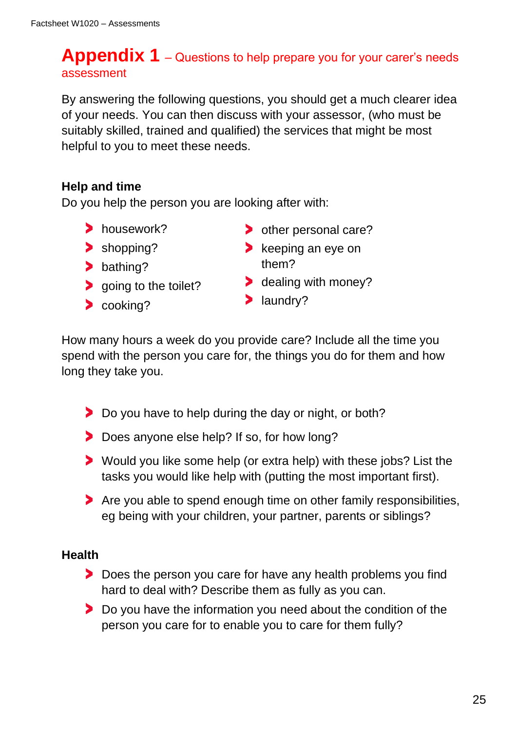### **Appendix 1** – Questions to help prepare you for your carer's needs assessment

By answering the following questions, you should get a much clearer idea of your needs. You can then discuss with your assessor, (who must be suitably skilled, trained and qualified) the services that might be most helpful to you to meet these needs.

### **Help and time**

Do you help the person you are looking after with:

- housework?
- > shopping?
- > bathing?
- **S** going to the toilet?
- > cooking?
- > other personal care?
- $\blacktriangleright$  keeping an eye on them?
- **b** dealing with money?
- > laundry?

How many hours a week do you provide care? Include all the time you spend with the person you care for, the things you do for them and how long they take you.

- Do you have to help during the day or night, or both?
- Does anyone else help? If so, for how long?
- Would you like some help (or extra help) with these jobs? List the tasks you would like help with (putting the most important first).
- Are you able to spend enough time on other family responsibilities, eg being with your children, your partner, parents or siblings?

### **Health**

- Does the person you care for have any health problems you find hard to deal with? Describe them as fully as you can.
- **Do you have the information you need about the condition of the** person you care for to enable you to care for them fully?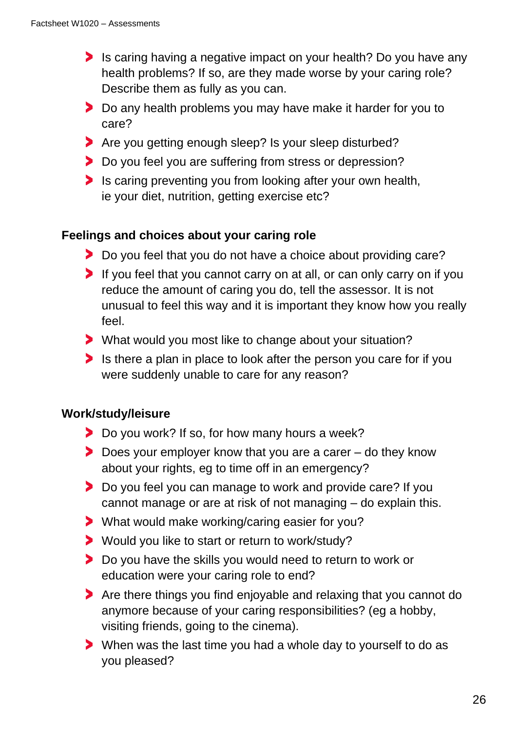- Is caring having a negative impact on your health? Do you have any health problems? If so, are they made worse by your caring role? Describe them as fully as you can.
- Do any health problems you may have make it harder for you to care?
- Are you getting enough sleep? Is your sleep disturbed?
- > Do you feel you are suffering from stress or depression?
- Is caring preventing you from looking after your own health, ie your diet, nutrition, getting exercise etc?

### **Feelings and choices about your caring role**

- Do you feel that you do not have a choice about providing care?
- If you feel that you cannot carry on at all, or can only carry on if you reduce the amount of caring you do, tell the assessor. It is not unusual to feel this way and it is important they know how you really feel.
- What would you most like to change about your situation?
- Is there a plan in place to look after the person you care for if you were suddenly unable to care for any reason?

### **Work/study/leisure**

- Do you work? If so, for how many hours a week?
- ▶ Does your employer know that you are a carer do they know about your rights, eg to time off in an emergency?
- **Do you feel you can manage to work and provide care? If you** cannot manage or are at risk of not managing – do explain this.
- What would make working/caring easier for you?
- Would you like to start or return to work/study?
- **Do you have the skills you would need to return to work or** education were your caring role to end?
- Are there things you find enjoyable and relaxing that you cannot do anymore because of your caring responsibilities? (eg a hobby, visiting friends, going to the cinema).
- When was the last time you had a whole day to yourself to do as you pleased?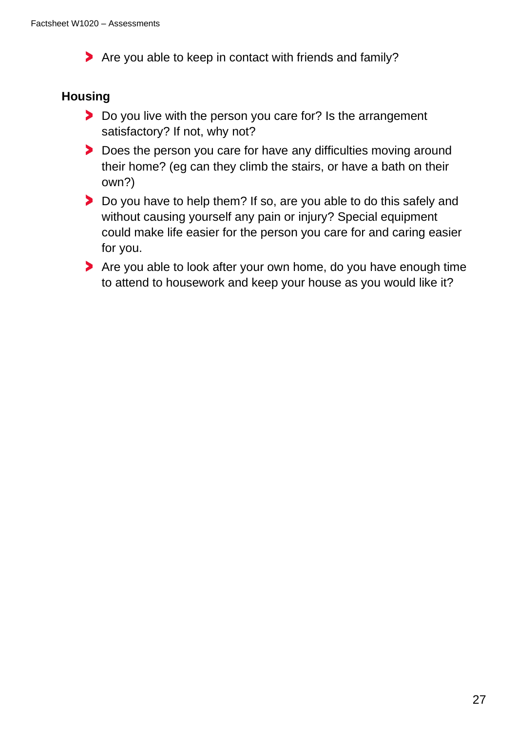Are you able to keep in contact with friends and family?

### **Housing**

- Do you live with the person you care for? Is the arrangement satisfactory? If not, why not?
- Does the person you care for have any difficulties moving around their home? (eg can they climb the stairs, or have a bath on their own?)
- **Do you have to help them? If so, are you able to do this safely and** without causing yourself any pain or injury? Special equipment could make life easier for the person you care for and caring easier for you.
- Are you able to look after your own home, do you have enough time to attend to housework and keep your house as you would like it?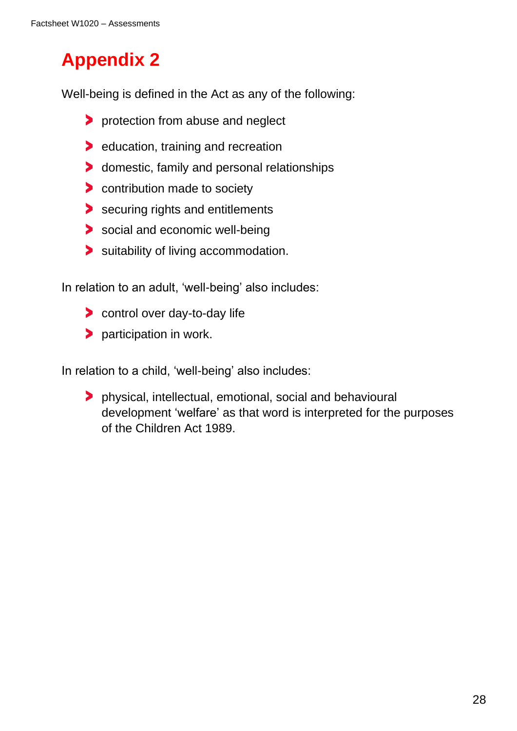# **Appendix 2**

Well-being is defined in the Act as any of the following:

- **Perotection from abuse and neglect**
- **EXECUTE:** Education, training and recreation
- **b** domestic, family and personal relationships
- **b** contribution made to society
- securing rights and entitlements
- social and economic well-being
- suitability of living accommodation.

In relation to an adult, 'well-being' also includes:

- **Control over day-to-day life**
- > participation in work.

In relation to a child, 'well-being' also includes:

physical, intellectual, emotional, social and behavioural development 'welfare' as that word is interpreted for the purposes of the Children Act 1989.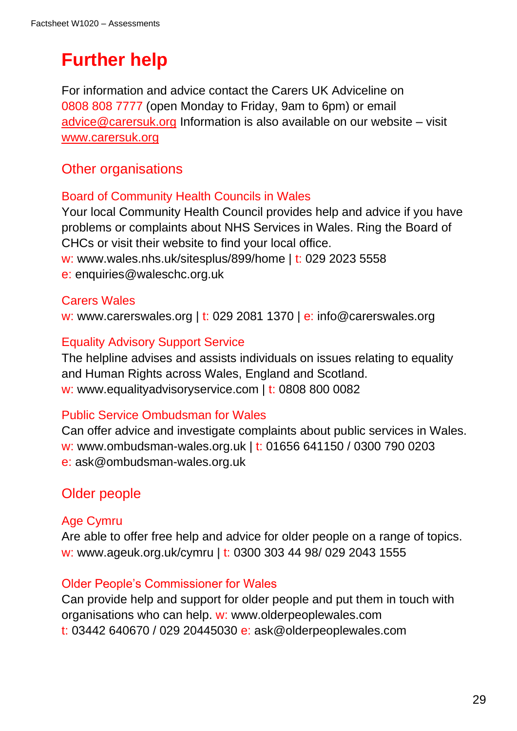# **Further help**

For information and advice contact the Carers UK Adviceline on 0808 808 7777 (open Monday to Friday, 9am to 6pm) or email [advice@carersuk.org](mailto:advice@carersuk.org) Information is also available on our website – visit [www.carersuk.org](http://www.carersuk.org/)

### Other organisations

### Board of Community Health Councils in Wales

Your local Community Health Council provides help and advice if you have problems or complaints about NHS Services in Wales. Ring the Board of CHCs or visit their website to find your local office.

w: www.wales.nhs.uk/sitesplus/899/home | t: 029 2023 5558

e: enquiries@waleschc.org.uk

### Carers Wales

w: www.carerswales.org | t: 029 2081 1370 | e: info@carerswales.org

### Equality Advisory Support Service

The helpline advises and assists individuals on issues relating to equality and Human Rights across Wales, England and Scotland. w: www.equalityadvisoryservice.com | t: 0808 800 0082

### Public Service Ombudsman for Wales

Can offer advice and investigate complaints about public services in Wales. w: www.ombudsman-wales.org.uk | t: 01656 641150 / 0300 790 0203 e: ask@ombudsman-wales.org.uk

### Older people

### Age Cymru

Are able to offer free help and advice for older people on a range of topics. w: www.ageuk.org.uk/cymru | t: 0300 303 44 98/ 029 2043 1555

#### Older People's Commissioner for Wales

Can provide help and support for older people and put them in touch with organisations who can help. w: www.olderpeoplewales.com t: 03442 640670 / 029 20445030 e: ask@olderpeoplewales.com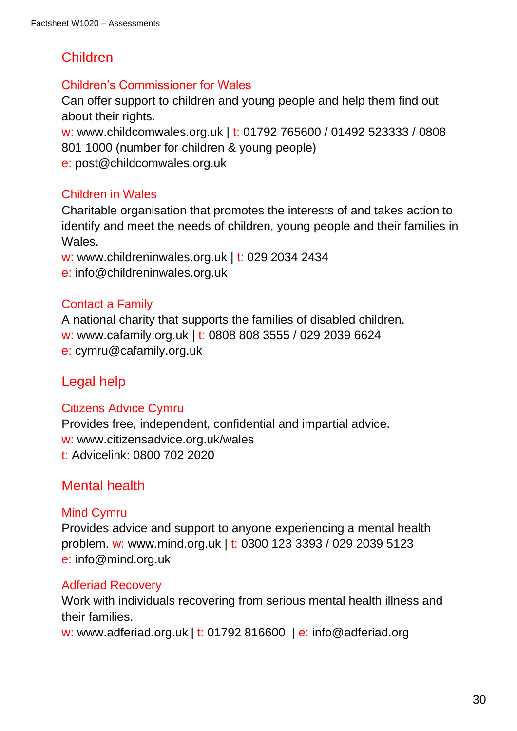### Children

### Children's Commissioner for Wales

Can offer support to children and young people and help them find out about their rights.

w: www.childcomwales.org.uk | t: 01792 765600 / 01492 523333 / 0808 801 1000 (number for children & young people) e: post@childcomwales.org.uk

### Children in Wales

Charitable organisation that promotes the interests of and takes action to identify and meet the needs of children, young people and their families in **Wales** 

w: www.childreninwales.org.uk | t: 029 2034 2434

e: info@childreninwales.org.uk

### Contact a Family

A national charity that supports the families of disabled children. w: www.cafamily.org.uk | t: 0808 808 3555 / 029 2039 6624 e: cymru@cafamily.org.uk

### Legal help

### Citizens Advice Cymru

Provides free, independent, confidential and impartial advice. w: www.citizensadvice.org.uk/wales t: Advicelink: 0800 702 2020

### Mental health

### Mind Cymru

Provides advice and support to anyone experiencing a mental health problem. w: www.mind.org.uk | t: 0300 123 3393 / 029 2039 5123 e: info@mind.org.uk

### Adferiad Recovery

Work with individuals recovering from serious mental health illness and their families.

w: [www.adferiad.org.uk](http://www.adferiad.org.uk/) | t: 01792 816600 | e: info@adferiad.org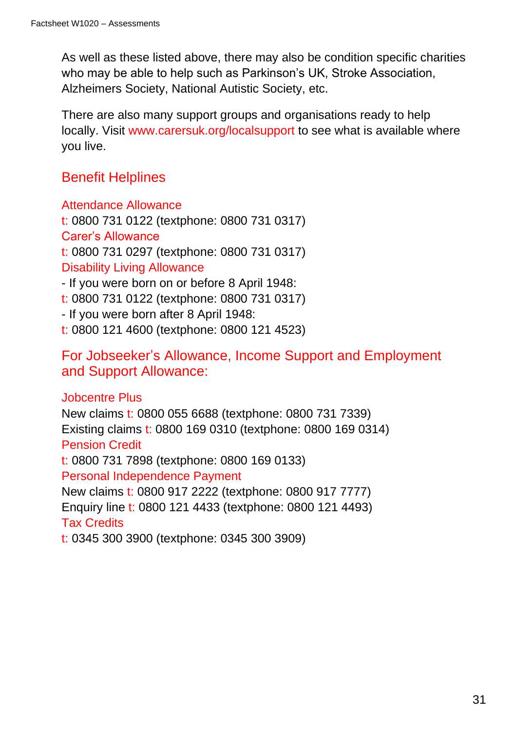As well as these listed above, there may also be condition specific charities who may be able to help such as Parkinson's UK, Stroke Association, Alzheimers Society, National Autistic Society, etc.

There are also many support groups and organisations ready to help locally. Visit www.carersuk.org/localsupport to see what is available where you live.

### Benefit Helplines

Attendance Allowance t: 0800 731 0122 (textphone: 0800 731 0317) Carer's Allowance t: 0800 731 0297 (textphone: 0800 731 0317) Disability Living Allowance - If you were born on or before 8 April 1948:

t: 0800 731 0122 (textphone: 0800 731 0317)

- If you were born after 8 April 1948:

t: 0800 121 4600 (textphone: 0800 121 4523)

For Jobseeker's Allowance, Income Support and Employment and Support Allowance:

### Jobcentre Plus

New claims t: 0800 055 6688 (textphone: 0800 731 7339) Existing claims t: 0800 169 0310 (textphone: 0800 169 0314) Pension Credit t: 0800 731 7898 (textphone: 0800 169 0133) Personal Independence Payment New claims t: 0800 917 2222 (textphone: 0800 917 7777) Enquiry line t: 0800 121 4433 (textphone: 0800 121 4493) Tax Credits t: 0345 300 3900 (textphone: 0345 300 3909)